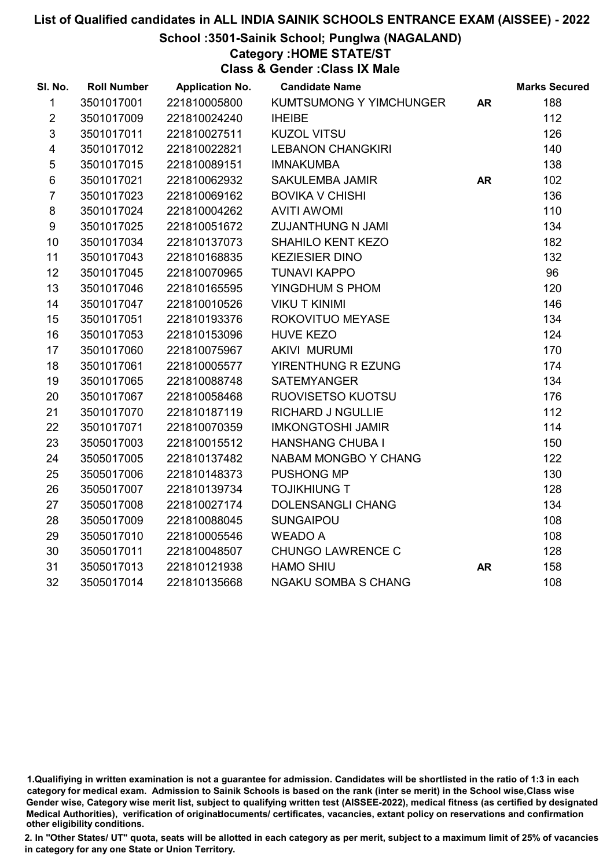## School :3501-Sainik School; Punglwa (NAGALAND)

# Category :HOME STATE/ST

Class & Gender :Class IX Male

| SI. No.                 | <b>Roll Number</b> | <b>Application No.</b> | <b>Candidate Name</b>      |           | <b>Marks Secured</b> |
|-------------------------|--------------------|------------------------|----------------------------|-----------|----------------------|
| $\mathbf{1}$            | 3501017001         | 221810005800           | KUMTSUMONG Y YIMCHUNGER    | <b>AR</b> | 188                  |
| $\overline{2}$          | 3501017009         | 221810024240           | <b>IHEIBE</b>              |           | 112                  |
| $\sqrt{3}$              | 3501017011         | 221810027511           | <b>KUZOL VITSU</b>         |           | 126                  |
| $\overline{\mathbf{4}}$ | 3501017012         | 221810022821           | <b>LEBANON CHANGKIRI</b>   |           | 140                  |
| $\sqrt{5}$              | 3501017015         | 221810089151           | <b>IMNAKUMBA</b>           |           | 138                  |
| 6                       | 3501017021         | 221810062932           | <b>SAKULEMBA JAMIR</b>     | <b>AR</b> | 102                  |
| $\overline{7}$          | 3501017023         | 221810069162           | <b>BOVIKA V CHISHI</b>     |           | 136                  |
| 8                       | 3501017024         | 221810004262           | <b>AVITI AWOMI</b>         |           | 110                  |
| $\boldsymbol{9}$        | 3501017025         | 221810051672           | <b>ZUJANTHUNG N JAMI</b>   |           | 134                  |
| 10                      | 3501017034         | 221810137073           | <b>SHAHILO KENT KEZO</b>   |           | 182                  |
| 11                      | 3501017043         | 221810168835           | <b>KEZIESIER DINO</b>      |           | 132                  |
| 12                      | 3501017045         | 221810070965           | <b>TUNAVI KAPPO</b>        |           | 96                   |
| 13                      | 3501017046         | 221810165595           | YINGDHUM S PHOM            |           | 120                  |
| 14                      | 3501017047         | 221810010526           | <b>VIKU T KINIMI</b>       |           | 146                  |
| 15                      | 3501017051         | 221810193376           | ROKOVITUO MEYASE           |           | 134                  |
| 16                      | 3501017053         | 221810153096           | <b>HUVE KEZO</b>           |           | 124                  |
| 17                      | 3501017060         | 221810075967           | <b>AKIVI MURUMI</b>        |           | 170                  |
| 18                      | 3501017061         | 221810005577           | YIRENTHUNG R EZUNG         |           | 174                  |
| 19                      | 3501017065         | 221810088748           | <b>SATEMYANGER</b>         |           | 134                  |
| 20                      | 3501017067         | 221810058468           | RUOVISETSO KUOTSU          |           | 176                  |
| 21                      | 3501017070         | 221810187119           | <b>RICHARD J NGULLIE</b>   |           | 112                  |
| 22                      | 3501017071         | 221810070359           | <b>IMKONGTOSHI JAMIR</b>   |           | 114                  |
| 23                      | 3505017003         | 221810015512           | <b>HANSHANG CHUBA I</b>    |           | 150                  |
| 24                      | 3505017005         | 221810137482           | NABAM MONGBO Y CHANG       |           | 122                  |
| 25                      | 3505017006         | 221810148373           | PUSHONG MP                 |           | 130                  |
| 26                      | 3505017007         | 221810139734           | <b>TOJIKHIUNG T</b>        |           | 128                  |
| 27                      | 3505017008         | 221810027174           | <b>DOLENSANGLI CHANG</b>   |           | 134                  |
| 28                      | 3505017009         | 221810088045           | <b>SUNGAIPOU</b>           |           | 108                  |
| 29                      | 3505017010         | 221810005546           | <b>WEADO A</b>             |           | 108                  |
| 30                      | 3505017011         | 221810048507           | <b>CHUNGO LAWRENCE C</b>   |           | 128                  |
| 31                      | 3505017013         | 221810121938           | <b>HAMO SHIU</b>           | <b>AR</b> | 158                  |
| 32                      | 3505017014         | 221810135668           | <b>NGAKU SOMBA S CHANG</b> |           | 108                  |

<sup>1.</sup>Qualifiying in written examination is not a guarantee for admission. Candidates will be shortlisted in the ratio of 1:3 in each category for medical exam. Admission to Sainik Schools is based on the rank (inter se merit) in the School wise,Class wise Gender wise, Category wise merit list, subject to qualifying written test (AISSEE-2022), medical fitness (as certified by designated Medical Authorities), verification of originablocuments/ certificates, vacancies, extant policy on reservations and confirmation other eligibility conditions.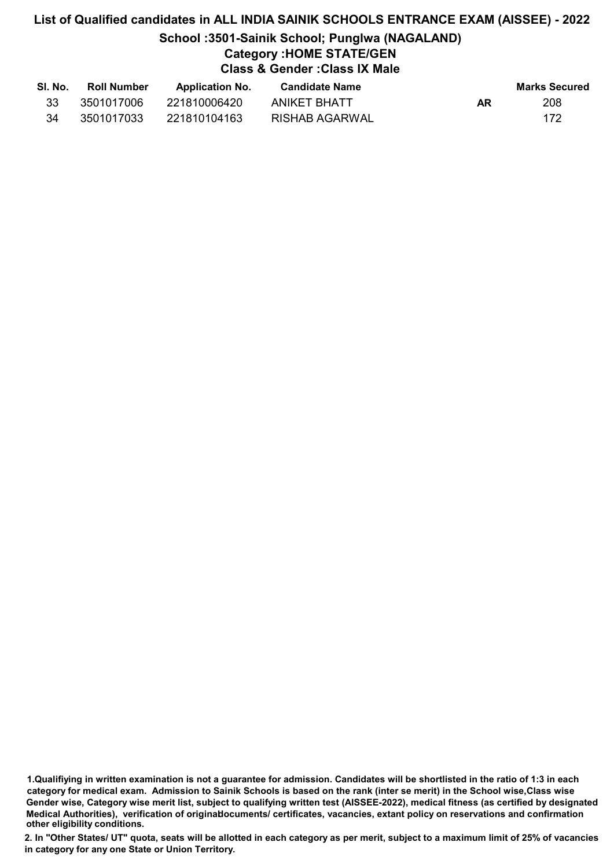# List of Qualified candidates in ALL INDIA SAINIK SCHOOLS ENTRANCE EXAM (AISSEE) - 2022 School :3501-Sainik School; Punglwa (NAGALAND) Category :HOME STATE/GEN Class & Gender :Class IX Male

| SI. No. | <b>Roll Number</b> | <b>Application No.</b> | Candidate Name |    | Marks Secured |
|---------|--------------------|------------------------|----------------|----|---------------|
| 33      | 3501017006         | 221810006420           | ANIKET BHATT   | AR | 208           |
| 34      | 3501017033         | 221810104163           | RISHAB AGARWAL |    | 172           |

<sup>1.</sup>Qualifiying in written examination is not a guarantee for admission. Candidates will be shortlisted in the ratio of 1:3 in each category for medical exam. Admission to Sainik Schools is based on the rank (inter se merit) in the School wise,Class wise Gender wise, Category wise merit list, subject to qualifying written test (AISSEE-2022), medical fitness (as certified by designated Medical Authorities), verification of originablocuments/ certificates, vacancies, extant policy on reservations and confirmation other eligibility conditions.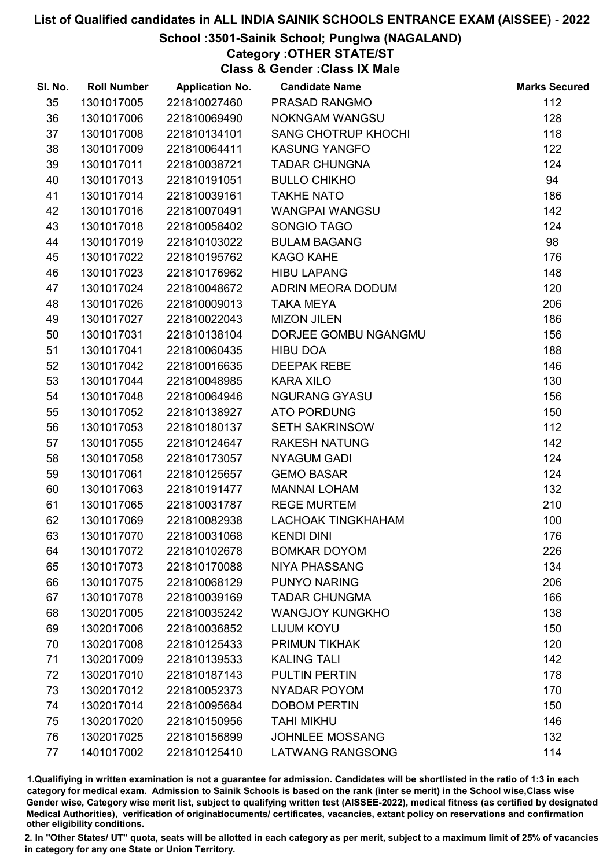# School :3501-Sainik School; Punglwa (NAGALAND)

Category :OTHER STATE/ST

Class & Gender :Class IX Male

| SI. No. | <b>Roll Number</b> | <b>Application No.</b> | <b>Candidate Name</b>      | <b>Marks Secured</b> |
|---------|--------------------|------------------------|----------------------------|----------------------|
| 35      | 1301017005         | 221810027460           | PRASAD RANGMO              | 112                  |
| 36      | 1301017006         | 221810069490           | <b>NOKNGAM WANGSU</b>      | 128                  |
| 37      | 1301017008         | 221810134101           | <b>SANG CHOTRUP KHOCHI</b> | 118                  |
| 38      | 1301017009         | 221810064411           | <b>KASUNG YANGFO</b>       | 122                  |
| 39      | 1301017011         | 221810038721           | <b>TADAR CHUNGNA</b>       | 124                  |
| 40      | 1301017013         | 221810191051           | <b>BULLO CHIKHO</b>        | 94                   |
| 41      | 1301017014         | 221810039161           | <b>TAKHE NATO</b>          | 186                  |
| 42      | 1301017016         | 221810070491           | <b>WANGPAI WANGSU</b>      | 142                  |
| 43      | 1301017018         | 221810058402           | SONGIO TAGO                | 124                  |
| 44      | 1301017019         | 221810103022           | <b>BULAM BAGANG</b>        | 98                   |
| 45      | 1301017022         | 221810195762           | <b>KAGO KAHE</b>           | 176                  |
| 46      | 1301017023         | 221810176962           | <b>HIBU LAPANG</b>         | 148                  |
| 47      | 1301017024         | 221810048672           | ADRIN MEORA DODUM          | 120                  |
| 48      | 1301017026         | 221810009013           | <b>TAKA MEYA</b>           | 206                  |
| 49      | 1301017027         | 221810022043           | <b>MIZON JILEN</b>         | 186                  |
| 50      | 1301017031         | 221810138104           | DORJEE GOMBU NGANGMU       | 156                  |
| 51      | 1301017041         | 221810060435           | HIBU DOA                   | 188                  |
| 52      | 1301017042         | 221810016635           | <b>DEEPAK REBE</b>         | 146                  |
| 53      | 1301017044         | 221810048985           | <b>KARA XILO</b>           | 130                  |
| 54      | 1301017048         | 221810064946           | <b>NGURANG GYASU</b>       | 156                  |
| 55      | 1301017052         | 221810138927           | <b>ATO PORDUNG</b>         | 150                  |
| 56      | 1301017053         | 221810180137           | <b>SETH SAKRINSOW</b>      | 112                  |
| 57      | 1301017055         | 221810124647           | <b>RAKESH NATUNG</b>       | 142                  |
| 58      | 1301017058         | 221810173057           | <b>NYAGUM GADI</b>         | 124                  |
| 59      | 1301017061         | 221810125657           | <b>GEMO BASAR</b>          | 124                  |
| 60      | 1301017063         | 221810191477           | <b>MANNAI LOHAM</b>        | 132                  |
| 61      | 1301017065         | 221810031787           | <b>REGE MURTEM</b>         | 210                  |
| 62      | 1301017069         | 221810082938           | <b>LACHOAK TINGKHAHAM</b>  | 100                  |
| 63      | 1301017070         | 221810031068           | <b>KENDI DINI</b>          | 176                  |
| 64      | 1301017072         | 221810102678           | <b>BOMKAR DOYOM</b>        | 226                  |
| 65      | 1301017073         | 221810170088           | <b>NIYA PHASSANG</b>       | 134                  |
| 66      | 1301017075         | 221810068129           | PUNYO NARING               | 206                  |
| 67      | 1301017078         | 221810039169           | <b>TADAR CHUNGMA</b>       | 166                  |
| 68      | 1302017005         | 221810035242           | <b>WANGJOY KUNGKHO</b>     | 138                  |
| 69      | 1302017006         | 221810036852           | <b>LIJUM KOYU</b>          | 150                  |
| 70      | 1302017008         | 221810125433           | <b>PRIMUN TIKHAK</b>       | 120                  |
| 71      | 1302017009         | 221810139533           | <b>KALING TALI</b>         | 142                  |
| 72      | 1302017010         | 221810187143           | <b>PULTIN PERTIN</b>       | 178                  |
| 73      | 1302017012         | 221810052373           | NYADAR POYOM               | 170                  |
| 74      | 1302017014         | 221810095684           | <b>DOBOM PERTIN</b>        | 150                  |
| 75      | 1302017020         | 221810150956           | <b>TAHI MIKHU</b>          | 146                  |
| 76      | 1302017025         | 221810156899           | <b>JOHNLEE MOSSANG</b>     | 132                  |
| 77      | 1401017002         | 221810125410           | <b>LATWANG RANGSONG</b>    | 114                  |

1.Qualifiying in written examination is not a guarantee for admission. Candidates will be shortlisted in the ratio of 1:3 in each category for medical exam. Admission to Sainik Schools is based on the rank (inter se merit) in the School wise,Class wise Gender wise, Category wise merit list, subject to qualifying written test (AISSEE-2022), medical fitness (as certified by designated Medical Authorities), verification of originablocuments/ certificates, vacancies, extant policy on reservations and confirmation other eligibility conditions.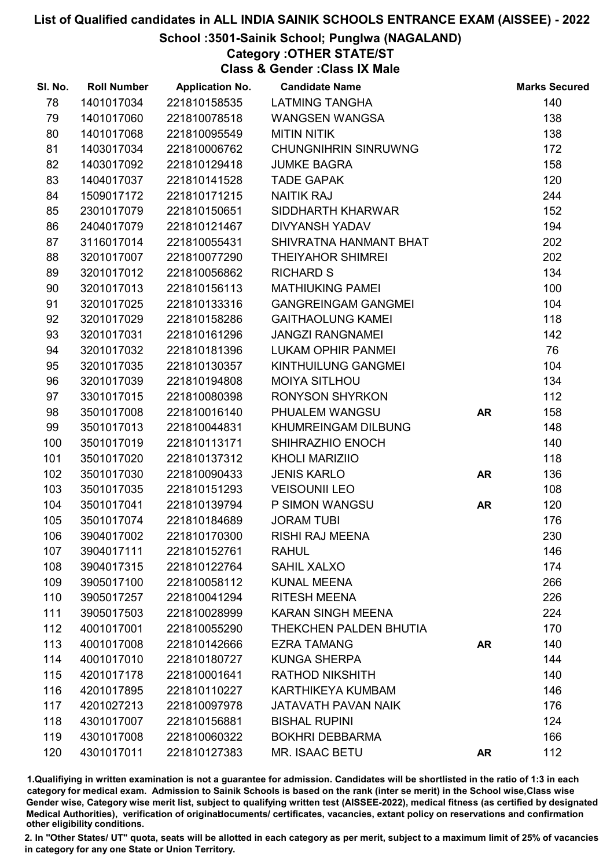# School :3501-Sainik School; Punglwa (NAGALAND)

# Category :OTHER STATE/ST

Class & Gender :Class IX Male

| SI. No. | <b>Roll Number</b> | <b>Application No.</b> | <b>Candidate Name</b>       |           | <b>Marks Secured</b> |
|---------|--------------------|------------------------|-----------------------------|-----------|----------------------|
| 78      | 1401017034         | 221810158535           | <b>LATMING TANGHA</b>       |           | 140                  |
| 79      | 1401017060         | 221810078518           | <b>WANGSEN WANGSA</b>       |           | 138                  |
| 80      | 1401017068         | 221810095549           | <b>MITIN NITIK</b>          |           | 138                  |
| 81      | 1403017034         | 221810006762           | <b>CHUNGNIHRIN SINRUWNG</b> |           | 172                  |
| 82      | 1403017092         | 221810129418           | <b>JUMKE BAGRA</b>          |           | 158                  |
| 83      | 1404017037         | 221810141528           | <b>TADE GAPAK</b>           |           | 120                  |
| 84      | 1509017172         | 221810171215           | <b>NAITIK RAJ</b>           |           | 244                  |
| 85      | 2301017079         | 221810150651           | SIDDHARTH KHARWAR           |           | 152                  |
| 86      | 2404017079         | 221810121467           | <b>DIVYANSH YADAV</b>       |           | 194                  |
| 87      | 3116017014         | 221810055431           | SHIVRATNA HANMANT BHAT      |           | 202                  |
| 88      | 3201017007         | 221810077290           | <b>THEIYAHOR SHIMREI</b>    |           | 202                  |
| 89      | 3201017012         | 221810056862           | <b>RICHARD S</b>            |           | 134                  |
| 90      | 3201017013         | 221810156113           | <b>MATHIUKING PAMEL</b>     |           | 100                  |
| 91      | 3201017025         | 221810133316           | <b>GANGREINGAM GANGMEI</b>  |           | 104                  |
| 92      | 3201017029         | 221810158286           | <b>GAITHAOLUNG KAMEI</b>    |           | 118                  |
| 93      | 3201017031         | 221810161296           | <b>JANGZI RANGNAMEI</b>     |           | 142                  |
| 94      | 3201017032         | 221810181396           | LUKAM OPHIR PANMEI          |           | 76                   |
| 95      | 3201017035         | 221810130357           | KINTHUILUNG GANGMEI         |           | 104                  |
| 96      | 3201017039         | 221810194808           | <b>MOIYA SITLHOU</b>        |           | 134                  |
| 97      | 3301017015         | 221810080398           | <b>RONYSON SHYRKON</b>      |           | 112                  |
| 98      | 3501017008         | 221810016140           | PHUALEM WANGSU              | <b>AR</b> | 158                  |
| 99      | 3501017013         | 221810044831           | KHUMREINGAM DILBUNG         |           | 148                  |
| 100     | 3501017019         | 221810113171           | SHIHRAZHIO ENOCH            |           | 140                  |
| 101     | 3501017020         | 221810137312           | <b>KHOLI MARIZIIO</b>       |           | 118                  |
| 102     | 3501017030         | 221810090433           | <b>JENIS KARLO</b>          | <b>AR</b> | 136                  |
| 103     | 3501017035         | 221810151293           | <b>VEISOUNII LEO</b>        |           | 108                  |
| 104     | 3501017041         | 221810139794           | P SIMON WANGSU              | <b>AR</b> | 120                  |
| 105     | 3501017074         | 221810184689           | <b>JORAM TUBI</b>           |           | 176                  |
| 106     | 3904017002         | 221810170300           | <b>RISHI RAJ MEENA</b>      |           | 230                  |
| 107     | 3904017111         | 221810152761           | <b>RAHUL</b>                |           | 146                  |
| 108     | 3904017315         | 221810122764           | SAHIL XALXO                 |           | 174                  |
| 109     | 3905017100         | 221810058112           | <b>KUNAL MEENA</b>          |           | 266                  |
| 110     | 3905017257         | 221810041294           | <b>RITESH MEENA</b>         |           | 226                  |
| 111     | 3905017503         | 221810028999           | <b>KARAN SINGH MEENA</b>    |           | 224                  |
| 112     | 4001017001         | 221810055290           | THEKCHEN PALDEN BHUTIA      |           | 170                  |
| 113     | 4001017008         | 221810142666           | <b>EZRA TAMANG</b>          | <b>AR</b> | 140                  |
| 114     | 4001017010         | 221810180727           | <b>KUNGA SHERPA</b>         |           | 144                  |
| 115     | 4201017178         | 221810001641           | <b>RATHOD NIKSHITH</b>      |           | 140                  |
| 116     | 4201017895         | 221810110227           | <b>KARTHIKEYA KUMBAM</b>    |           | 146                  |
| 117     | 4201027213         | 221810097978           | <b>JATAVATH PAVAN NAIK</b>  |           | 176                  |
| 118     | 4301017007         | 221810156881           | <b>BISHAL RUPINI</b>        |           | 124                  |
| 119     | 4301017008         | 221810060322           | <b>BOKHRI DEBBARMA</b>      |           | 166                  |
| 120     | 4301017011         | 221810127383           | MR. ISAAC BETU              | <b>AR</b> | 112                  |

1.Qualifiying in written examination is not a guarantee for admission. Candidates will be shortlisted in the ratio of 1:3 in each category for medical exam. Admission to Sainik Schools is based on the rank (inter se merit) in the School wise,Class wise Gender wise, Category wise merit list, subject to qualifying written test (AISSEE-2022), medical fitness (as certified by designated Medical Authorities), verification of originablocuments/ certificates, vacancies, extant policy on reservations and confirmation other eligibility conditions.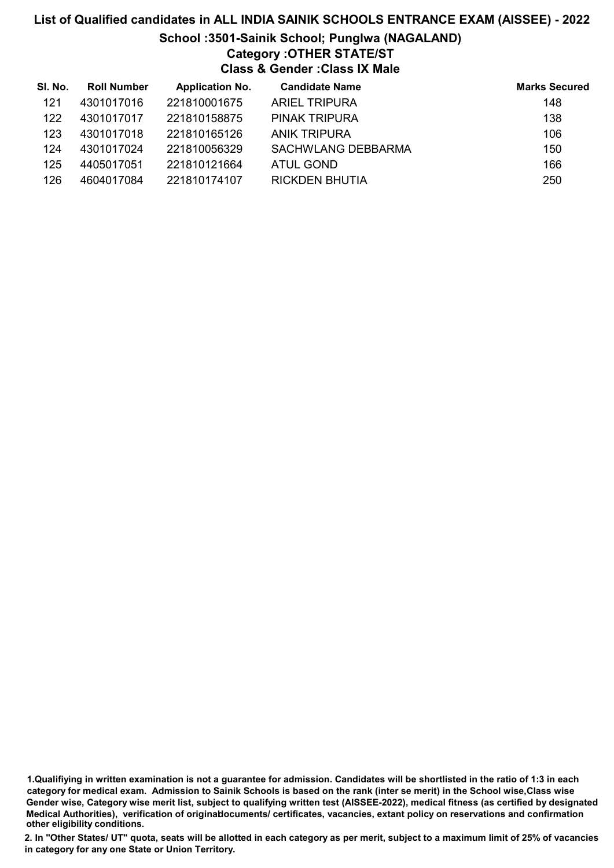# List of Qualified candidates in ALL INDIA SAINIK SCHOOLS ENTRANCE EXAM (AISSEE) - 2022 School :3501-Sainik School; Punglwa (NAGALAND) Category :OTHER STATE/ST Class & Gender :Class IX Male

| SI. No. | <b>Roll Number</b> | <b>Application No.</b> | <b>Candidate Name</b> | <b>Marks Secured</b> |
|---------|--------------------|------------------------|-----------------------|----------------------|
| 121     | 4301017016         | 221810001675           | <b>ARIEL TRIPURA</b>  | 148                  |
| 122     | 4301017017         | 221810158875           | PINAK TRIPURA         | 138                  |
| 123     | 4301017018         | 221810165126           | <b>ANIK TRIPURA</b>   | 106                  |
| 124     | 4301017024         | 221810056329           | SACHWLANG DEBBARMA    | 150                  |
| 125     | 4405017051         | 221810121664           | ATUL GOND             | 166                  |
| 126     | 4604017084         | 221810174107           | RICKDEN BHUTIA        | 250                  |

<sup>1.</sup>Qualifiying in written examination is not a guarantee for admission. Candidates will be shortlisted in the ratio of 1:3 in each category for medical exam. Admission to Sainik Schools is based on the rank (inter se merit) in the School wise,Class wise Gender wise, Category wise merit list, subject to qualifying written test (AISSEE-2022), medical fitness (as certified by designated Medical Authorities), verification of originablocuments/ certificates, vacancies, extant policy on reservations and confirmation other eligibility conditions.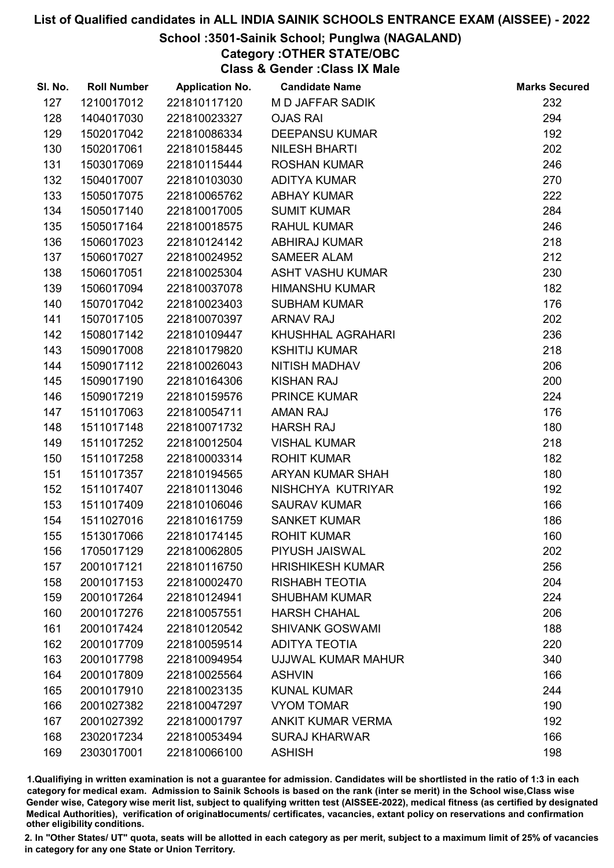# School :3501-Sainik School; Punglwa (NAGALAND)

Category :OTHER STATE/OBC

Class & Gender :Class IX Male

| SI. No. | <b>Roll Number</b> | <b>Application No.</b> | <b>Candidate Name</b>    | <b>Marks Secured</b> |
|---------|--------------------|------------------------|--------------------------|----------------------|
| 127     | 1210017012         | 221810117120           | M D JAFFAR SADIK         | 232                  |
| 128     | 1404017030         | 221810023327           | <b>OJAS RAI</b>          | 294                  |
| 129     | 1502017042         | 221810086334           | <b>DEEPANSU KUMAR</b>    | 192                  |
| 130     | 1502017061         | 221810158445           | <b>NILESH BHARTI</b>     | 202                  |
| 131     | 1503017069         | 221810115444           | <b>ROSHAN KUMAR</b>      | 246                  |
| 132     | 1504017007         | 221810103030           | <b>ADITYA KUMAR</b>      | 270                  |
| 133     | 1505017075         | 221810065762           | <b>ABHAY KUMAR</b>       | 222                  |
| 134     | 1505017140         | 221810017005           | <b>SUMIT KUMAR</b>       | 284                  |
| 135     | 1505017164         | 221810018575           | <b>RAHUL KUMAR</b>       | 246                  |
| 136     | 1506017023         | 221810124142           | <b>ABHIRAJ KUMAR</b>     | 218                  |
| 137     | 1506017027         | 221810024952           | <b>SAMEER ALAM</b>       | 212                  |
| 138     | 1506017051         | 221810025304           | <b>ASHT VASHU KUMAR</b>  | 230                  |
| 139     | 1506017094         | 221810037078           | <b>HIMANSHU KUMAR</b>    | 182                  |
| 140     | 1507017042         | 221810023403           | <b>SUBHAM KUMAR</b>      | 176                  |
| 141     | 1507017105         | 221810070397           | <b>ARNAV RAJ</b>         | 202                  |
| 142     | 1508017142         | 221810109447           | KHUSHHAL AGRAHARI        | 236                  |
| 143     | 1509017008         | 221810179820           | <b>KSHITIJ KUMAR</b>     | 218                  |
| 144     | 1509017112         | 221810026043           | <b>NITISH MADHAV</b>     | 206                  |
| 145     | 1509017190         | 221810164306           | <b>KISHAN RAJ</b>        | 200                  |
| 146     | 1509017219         | 221810159576           | <b>PRINCE KUMAR</b>      | 224                  |
| 147     | 1511017063         | 221810054711           | <b>AMAN RAJ</b>          | 176                  |
| 148     | 1511017148         | 221810071732           | <b>HARSH RAJ</b>         | 180                  |
| 149     | 1511017252         | 221810012504           | <b>VISHAL KUMAR</b>      | 218                  |
| 150     | 1511017258         | 221810003314           | <b>ROHIT KUMAR</b>       | 182                  |
| 151     | 1511017357         | 221810194565           | ARYAN KUMAR SHAH         | 180                  |
| 152     | 1511017407         | 221810113046           | NISHCHYA KUTRIYAR        | 192                  |
| 153     | 1511017409         | 221810106046           | <b>SAURAV KUMAR</b>      | 166                  |
| 154     | 1511027016         | 221810161759           | <b>SANKET KUMAR</b>      | 186                  |
| 155     | 1513017066         | 221810174145           | <b>ROHIT KUMAR</b>       | 160                  |
| 156     | 1705017129         | 221810062805           | PIYUSH JAISWAL           | 202                  |
| 157     | 2001017121         | 221810116750           | <b>HRISHIKESH KUMAR</b>  | 256                  |
| 158     | 2001017153         | 221810002470           | <b>RISHABH TEOTIA</b>    | 204                  |
| 159     | 2001017264         | 221810124941           | <b>SHUBHAM KUMAR</b>     | 224                  |
| 160     | 2001017276         | 221810057551           | <b>HARSH CHAHAL</b>      | 206                  |
| 161     | 2001017424         | 221810120542           | <b>SHIVANK GOSWAMI</b>   | 188                  |
| 162     | 2001017709         | 221810059514           | <b>ADITYA TEOTIA</b>     | 220                  |
| 163     | 2001017798         | 221810094954           | UJJWAL KUMAR MAHUR       | 340                  |
| 164     | 2001017809         | 221810025564           | <b>ASHVIN</b>            | 166                  |
| 165     | 2001017910         | 221810023135           | <b>KUNAL KUMAR</b>       | 244                  |
| 166     | 2001027382         | 221810047297           | <b>VYOM TOMAR</b>        | 190                  |
| 167     | 2001027392         | 221810001797           | <b>ANKIT KUMAR VERMA</b> | 192                  |
| 168     | 2302017234         | 221810053494           | <b>SURAJ KHARWAR</b>     | 166                  |
| 169     | 2303017001         | 221810066100           | <b>ASHISH</b>            | 198                  |

1.Qualifiying in written examination is not a guarantee for admission. Candidates will be shortlisted in the ratio of 1:3 in each category for medical exam. Admission to Sainik Schools is based on the rank (inter se merit) in the School wise,Class wise Gender wise, Category wise merit list, subject to qualifying written test (AISSEE-2022), medical fitness (as certified by designated Medical Authorities), verification of originablocuments/ certificates, vacancies, extant policy on reservations and confirmation other eligibility conditions.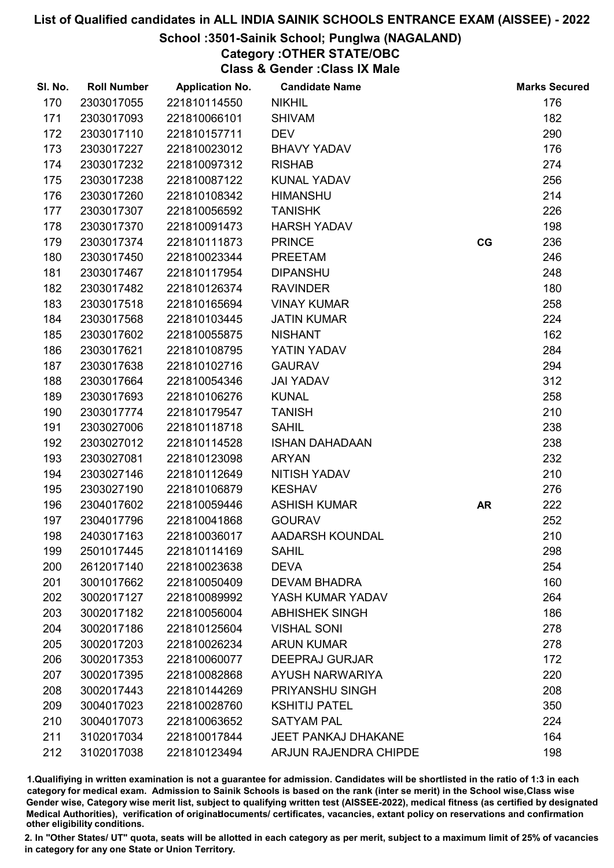#### School :3501-Sainik School; Punglwa (NAGALAND)

Category :OTHER STATE/OBC

Class & Gender :Class IX Male

| SI. No. | <b>Roll Number</b> | <b>Application No.</b> | <b>Candidate Name</b>      |           | <b>Marks Secured</b> |
|---------|--------------------|------------------------|----------------------------|-----------|----------------------|
| 170     | 2303017055         | 221810114550           | <b>NIKHIL</b>              |           | 176                  |
| 171     | 2303017093         | 221810066101           | <b>SHIVAM</b>              |           | 182                  |
| 172     | 2303017110         | 221810157711           | <b>DEV</b>                 |           | 290                  |
| 173     | 2303017227         | 221810023012           | <b>BHAVY YADAV</b>         |           | 176                  |
| 174     | 2303017232         | 221810097312           | <b>RISHAB</b>              |           | 274                  |
| 175     | 2303017238         | 221810087122           | <b>KUNAL YADAV</b>         |           | 256                  |
| 176     | 2303017260         | 221810108342           | <b>HIMANSHU</b>            |           | 214                  |
| 177     | 2303017307         | 221810056592           | <b>TANISHK</b>             |           | 226                  |
| 178     | 2303017370         | 221810091473           | <b>HARSH YADAV</b>         |           | 198                  |
| 179     | 2303017374         | 221810111873           | <b>PRINCE</b>              | CG        | 236                  |
| 180     | 2303017450         | 221810023344           | <b>PREETAM</b>             |           | 246                  |
| 181     | 2303017467         | 221810117954           | <b>DIPANSHU</b>            |           | 248                  |
| 182     | 2303017482         | 221810126374           | <b>RAVINDER</b>            |           | 180                  |
| 183     | 2303017518         | 221810165694           | <b>VINAY KUMAR</b>         |           | 258                  |
| 184     | 2303017568         | 221810103445           | <b>JATIN KUMAR</b>         |           | 224                  |
| 185     | 2303017602         | 221810055875           | <b>NISHANT</b>             |           | 162                  |
| 186     | 2303017621         | 221810108795           | YATIN YADAV                |           | 284                  |
| 187     | 2303017638         | 221810102716           | <b>GAURAV</b>              |           | 294                  |
| 188     | 2303017664         | 221810054346           | <b>JAI YADAV</b>           |           | 312                  |
| 189     | 2303017693         | 221810106276           | <b>KUNAL</b>               |           | 258                  |
| 190     | 2303017774         | 221810179547           | <b>TANISH</b>              |           | 210                  |
| 191     | 2303027006         | 221810118718           | <b>SAHIL</b>               |           | 238                  |
| 192     | 2303027012         | 221810114528           | <b>ISHAN DAHADAAN</b>      |           | 238                  |
| 193     | 2303027081         | 221810123098           | <b>ARYAN</b>               |           | 232                  |
| 194     | 2303027146         | 221810112649           | <b>NITISH YADAV</b>        |           | 210                  |
| 195     | 2303027190         | 221810106879           | <b>KESHAV</b>              |           | 276                  |
| 196     | 2304017602         | 221810059446           | <b>ASHISH KUMAR</b>        | <b>AR</b> | 222                  |
| 197     | 2304017796         | 221810041868           | <b>GOURAV</b>              |           | 252                  |
| 198     | 2403017163         | 221810036017           | AADARSH KOUNDAL            |           | 210                  |
| 199     | 2501017445         | 221810114169           | <b>SAHIL</b>               |           | 298                  |
| 200     | 2612017140         | 221810023638           | <b>DEVA</b>                |           | 254                  |
| 201     | 3001017662         | 221810050409           | <b>DEVAM BHADRA</b>        |           | 160                  |
| 202     | 3002017127         | 221810089992           | YASH KUMAR YADAV           |           | 264                  |
| 203     | 3002017182         | 221810056004           | <b>ABHISHEK SINGH</b>      |           | 186                  |
| 204     | 3002017186         | 221810125604           | <b>VISHAL SONI</b>         |           | 278                  |
| 205     | 3002017203         | 221810026234           | <b>ARUN KUMAR</b>          |           | 278                  |
| 206     | 3002017353         | 221810060077           | <b>DEEPRAJ GURJAR</b>      |           | 172                  |
| 207     | 3002017395         | 221810082868           | <b>AYUSH NARWARIYA</b>     |           | 220                  |
| 208     | 3002017443         | 221810144269           | PRIYANSHU SINGH            |           | 208                  |
| 209     | 3004017023         | 221810028760           | <b>KSHITIJ PATEL</b>       |           | 350                  |
| 210     | 3004017073         | 221810063652           | <b>SATYAM PAL</b>          |           | 224                  |
| 211     | 3102017034         | 221810017844           | <b>JEET PANKAJ DHAKANE</b> |           | 164                  |
| 212     | 3102017038         | 221810123494           | ARJUN RAJENDRA CHIPDE      |           | 198                  |

1.Qualifiying in written examination is not a guarantee for admission. Candidates will be shortlisted in the ratio of 1:3 in each category for medical exam. Admission to Sainik Schools is based on the rank (inter se merit) in the School wise,Class wise Gender wise, Category wise merit list, subject to qualifying written test (AISSEE-2022), medical fitness (as certified by designated Medical Authorities), verification of originablocuments/ certificates, vacancies, extant policy on reservations and confirmation other eligibility conditions.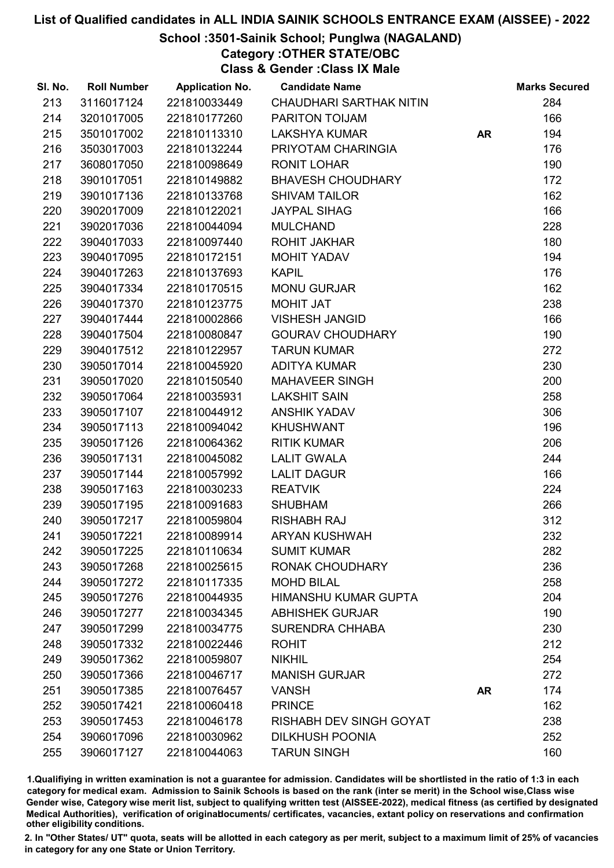# School :3501-Sainik School; Punglwa (NAGALAND)

Category :OTHER STATE/OBC

Class & Gender :Class IX Male

| SI. No. | <b>Roll Number</b> | <b>Application No.</b> | <b>Candidate Name</b>          |           | <b>Marks Secured</b> |
|---------|--------------------|------------------------|--------------------------------|-----------|----------------------|
| 213     | 3116017124         | 221810033449           | <b>CHAUDHARI SARTHAK NITIN</b> |           | 284                  |
| 214     | 3201017005         | 221810177260           | PARITON TOIJAM                 |           | 166                  |
| 215     | 3501017002         | 221810113310           | <b>LAKSHYA KUMAR</b>           | <b>AR</b> | 194                  |
| 216     | 3503017003         | 221810132244           | PRIYOTAM CHARINGIA             |           | 176                  |
| 217     | 3608017050         | 221810098649           | <b>RONIT LOHAR</b>             |           | 190                  |
| 218     | 3901017051         | 221810149882           | <b>BHAVESH CHOUDHARY</b>       |           | 172                  |
| 219     | 3901017136         | 221810133768           | <b>SHIVAM TAILOR</b>           |           | 162                  |
| 220     | 3902017009         | 221810122021           | <b>JAYPAL SIHAG</b>            |           | 166                  |
| 221     | 3902017036         | 221810044094           | <b>MULCHAND</b>                |           | 228                  |
| 222     | 3904017033         | 221810097440           | <b>ROHIT JAKHAR</b>            |           | 180                  |
| 223     | 3904017095         | 221810172151           | MOHIT YADAV                    |           | 194                  |
| 224     | 3904017263         | 221810137693           | <b>KAPIL</b>                   |           | 176                  |
| 225     | 3904017334         | 221810170515           | <b>MONU GURJAR</b>             |           | 162                  |
| 226     | 3904017370         | 221810123775           | <b>MOHIT JAT</b>               |           | 238                  |
| 227     | 3904017444         | 221810002866           | <b>VISHESH JANGID</b>          |           | 166                  |
| 228     | 3904017504         | 221810080847           | <b>GOURAV CHOUDHARY</b>        |           | 190                  |
| 229     | 3904017512         | 221810122957           | <b>TARUN KUMAR</b>             |           | 272                  |
| 230     | 3905017014         | 221810045920           | <b>ADITYA KUMAR</b>            |           | 230                  |
| 231     | 3905017020         | 221810150540           | <b>MAHAVEER SINGH</b>          |           | 200                  |
| 232     | 3905017064         | 221810035931           | <b>LAKSHIT SAIN</b>            |           | 258                  |
| 233     | 3905017107         | 221810044912           | <b>ANSHIK YADAV</b>            |           | 306                  |
| 234     | 3905017113         | 221810094042           | <b>KHUSHWANT</b>               |           | 196                  |
| 235     | 3905017126         | 221810064362           | <b>RITIK KUMAR</b>             |           | 206                  |
| 236     | 3905017131         | 221810045082           | <b>LALIT GWALA</b>             |           | 244                  |
| 237     | 3905017144         | 221810057992           | <b>LALIT DAGUR</b>             |           | 166                  |
| 238     | 3905017163         | 221810030233           | <b>REATVIK</b>                 |           | 224                  |
| 239     | 3905017195         | 221810091683           | <b>SHUBHAM</b>                 |           | 266                  |
| 240     | 3905017217         | 221810059804           | <b>RISHABH RAJ</b>             |           | 312                  |
| 241     | 3905017221         | 221810089914           | <b>ARYAN KUSHWAH</b>           |           | 232                  |
| 242     | 3905017225         | 221810110634           | <b>SUMIT KUMAR</b>             |           | 282                  |
| 243     | 3905017268         | 221810025615           | <b>RONAK CHOUDHARY</b>         |           | 236                  |
| 244     | 3905017272         | 221810117335           | <b>MOHD BILAL</b>              |           | 258                  |
| 245     | 3905017276         | 221810044935           | <b>HIMANSHU KUMAR GUPTA</b>    |           | 204                  |
| 246     | 3905017277         | 221810034345           | <b>ABHISHEK GURJAR</b>         |           | 190                  |
| 247     | 3905017299         | 221810034775           | <b>SURENDRA CHHABA</b>         |           | 230                  |
| 248     | 3905017332         | 221810022446           | <b>ROHIT</b>                   |           | 212                  |
| 249     | 3905017362         | 221810059807           | <b>NIKHIL</b>                  |           | 254                  |
| 250     | 3905017366         | 221810046717           | <b>MANISH GURJAR</b>           |           | 272                  |
| 251     | 3905017385         | 221810076457           | <b>VANSH</b>                   | <b>AR</b> | 174                  |
| 252     | 3905017421         | 221810060418           | <b>PRINCE</b>                  |           | 162                  |
| 253     | 3905017453         | 221810046178           | <b>RISHABH DEV SINGH GOYAT</b> |           | 238                  |
| 254     | 3906017096         | 221810030962           | <b>DILKHUSH POONIA</b>         |           | 252                  |
| 255     | 3906017127         | 221810044063           | <b>TARUN SINGH</b>             |           | 160                  |

1.Qualifiying in written examination is not a guarantee for admission. Candidates will be shortlisted in the ratio of 1:3 in each category for medical exam. Admission to Sainik Schools is based on the rank (inter se merit) in the School wise,Class wise Gender wise, Category wise merit list, subject to qualifying written test (AISSEE-2022), medical fitness (as certified by designated Medical Authorities), verification of originablocuments/ certificates, vacancies, extant policy on reservations and confirmation other eligibility conditions.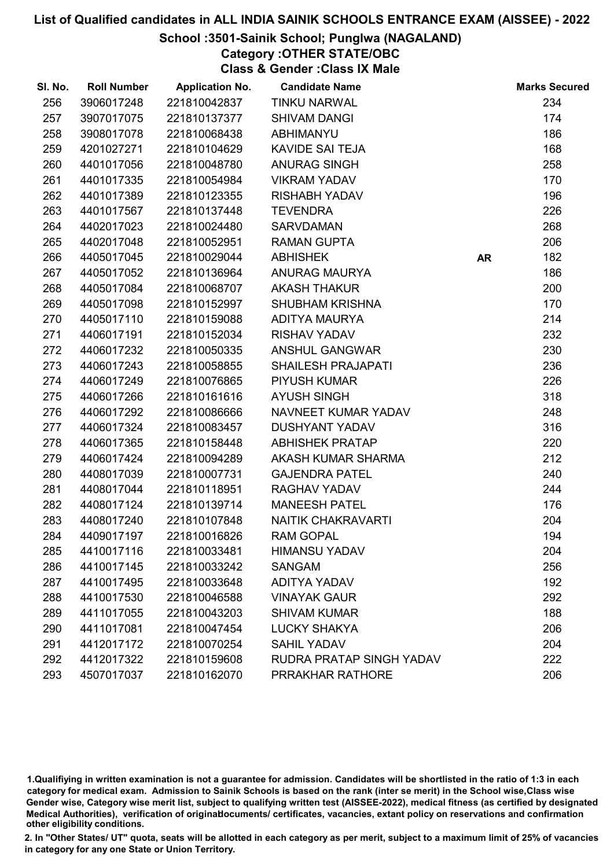#### School :3501-Sainik School; Punglwa (NAGALAND)

Category :OTHER STATE/OBC

Class & Gender :Class IX Male

| SI. No. | <b>Roll Number</b> | <b>Application No.</b> | <b>Candidate Name</b>     |           | <b>Marks Secured</b> |
|---------|--------------------|------------------------|---------------------------|-----------|----------------------|
| 256     | 3906017248         | 221810042837           | <b>TINKU NARWAL</b>       |           | 234                  |
| 257     | 3907017075         | 221810137377           | <b>SHIVAM DANGI</b>       |           | 174                  |
| 258     | 3908017078         | 221810068438           | ABHIMANYU                 |           | 186                  |
| 259     | 4201027271         | 221810104629           | <b>KAVIDE SAI TEJA</b>    |           | 168                  |
| 260     | 4401017056         | 221810048780           | ANURAG SINGH              |           | 258                  |
| 261     | 4401017335         | 221810054984           | <b>VIKRAM YADAV</b>       |           | 170                  |
| 262     | 4401017389         | 221810123355           | <b>RISHABH YADAV</b>      |           | 196                  |
| 263     | 4401017567         | 221810137448           | <b>TEVENDRA</b>           |           | 226                  |
| 264     | 4402017023         | 221810024480           | <b>SARVDAMAN</b>          |           | 268                  |
| 265     | 4402017048         | 221810052951           | <b>RAMAN GUPTA</b>        |           | 206                  |
| 266     | 4405017045         | 221810029044           | <b>ABHISHEK</b>           | <b>AR</b> | 182                  |
| 267     | 4405017052         | 221810136964           | <b>ANURAG MAURYA</b>      |           | 186                  |
| 268     | 4405017084         | 221810068707           | <b>AKASH THAKUR</b>       |           | 200                  |
| 269     | 4405017098         | 221810152997           | <b>SHUBHAM KRISHNA</b>    |           | 170                  |
| 270     | 4405017110         | 221810159088           | ADITYA MAURYA             |           | 214                  |
| 271     | 4406017191         | 221810152034           | <b>RISHAV YADAV</b>       |           | 232                  |
| 272     | 4406017232         | 221810050335           | ANSHUL GANGWAR            |           | 230                  |
| 273     | 4406017243         | 221810058855           | <b>SHAILESH PRAJAPATI</b> |           | 236                  |
| 274     | 4406017249         | 221810076865           | <b>PIYUSH KUMAR</b>       |           | 226                  |
| 275     | 4406017266         | 221810161616           | <b>AYUSH SINGH</b>        |           | 318                  |
| 276     | 4406017292         | 221810086666           | NAVNEET KUMAR YADAV       |           | 248                  |
| 277     | 4406017324         | 221810083457           | <b>DUSHYANT YADAV</b>     |           | 316                  |
| 278     | 4406017365         | 221810158448           | <b>ABHISHEK PRATAP</b>    |           | 220                  |
| 279     | 4406017424         | 221810094289           | AKASH KUMAR SHARMA        |           | 212                  |
| 280     | 4408017039         | 221810007731           | <b>GAJENDRA PATEL</b>     |           | 240                  |
| 281     | 4408017044         | 221810118951           | RAGHAV YADAV              |           | 244                  |
| 282     | 4408017124         | 221810139714           | <b>MANEESH PATEL</b>      |           | 176                  |
| 283     | 4408017240         | 221810107848           | <b>NAITIK CHAKRAVARTI</b> |           | 204                  |
| 284     | 4409017197         | 221810016826           | <b>RAM GOPAL</b>          |           | 194                  |
| 285     | 4410017116         | 221810033481           | <b>HIMANSU YADAV</b>      |           | 204                  |
| 286     | 4410017145         | 221810033242           | <b>SANGAM</b>             |           | 256                  |
| 287     | 4410017495         | 221810033648           | <b>ADITYA YADAV</b>       |           | 192                  |
| 288     | 4410017530         | 221810046588           | <b>VINAYAK GAUR</b>       |           | 292                  |
| 289     | 4411017055         | 221810043203           | <b>SHIVAM KUMAR</b>       |           | 188                  |
| 290     | 4411017081         | 221810047454           | <b>LUCKY SHAKYA</b>       |           | 206                  |
| 291     | 4412017172         | 221810070254           | <b>SAHIL YADAV</b>        |           | 204                  |
| 292     | 4412017322         | 221810159608           | RUDRA PRATAP SINGH YADAV  |           | 222                  |
| 293     | 4507017037         | 221810162070           | PRRAKHAR RATHORE          |           | 206                  |

1.Qualifiying in written examination is not a guarantee for admission. Candidates will be shortlisted in the ratio of 1:3 in each category for medical exam. Admission to Sainik Schools is based on the rank (inter se merit) in the School wise,Class wise Gender wise, Category wise merit list, subject to qualifying written test (AISSEE-2022), medical fitness (as certified by designated Medical Authorities), verification of originablocuments/ certificates, vacancies, extant policy on reservations and confirmation other eligibility conditions.